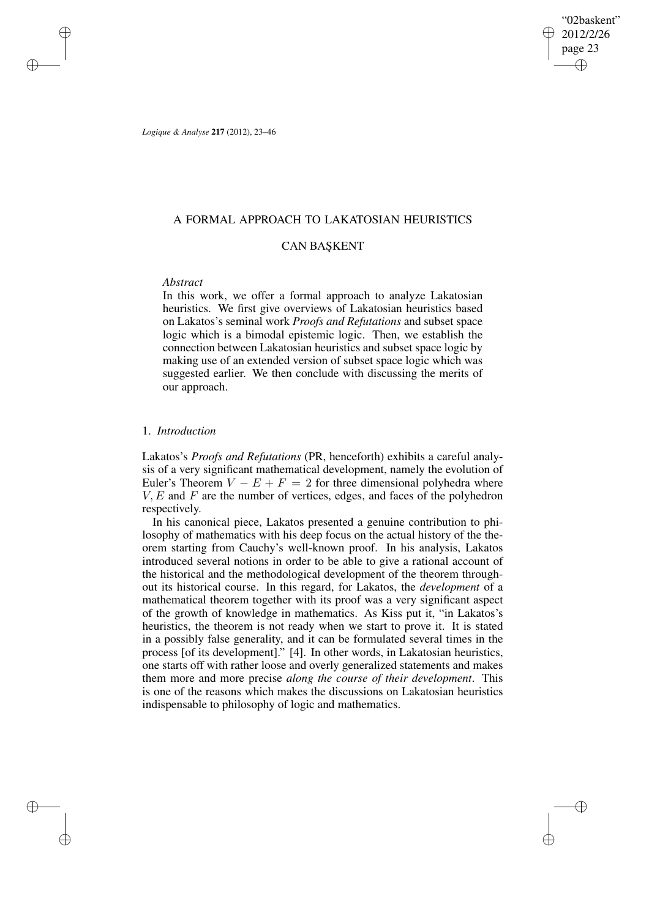"02baskent" 2012/2/26 page 23 ✐ ✐

✐

✐

*Logique & Analyse* **217** (2012), 23–46

✐

✐

✐

✐

# A FORMAL APPROACH TO LAKATOSIAN HEURISTICS

# **CAN BASKENT**

## *Abstract*

In this work, we offer a formal approach to analyze Lakatosian heuristics. We first give overviews of Lakatosian heuristics based on Lakatos's seminal work *Proofs and Refutations* and subset space logic which is a bimodal epistemic logic. Then, we establish the connection between Lakatosian heuristics and subset space logic by making use of an extended version of subset space logic which was suggested earlier. We then conclude with discussing the merits of our approach.

## 1. *Introduction*

Lakatos's *Proofs and Refutations* (PR, henceforth) exhibits a careful analysis of a very significant mathematical development, namely the evolution of Euler's Theorem  $V - E + F = 2$  for three dimensional polyhedra where  $V, E$  and  $F$  are the number of vertices, edges, and faces of the polyhedron respectively.

In his canonical piece, Lakatos presented a genuine contribution to philosophy of mathematics with his deep focus on the actual history of the theorem starting from Cauchy's well-known proof. In his analysis, Lakatos introduced several notions in order to be able to give a rational account of the historical and the methodological development of the theorem throughout its historical course. In this regard, for Lakatos, the *development* of a mathematical theorem together with its proof was a very significant aspect of the growth of knowledge in mathematics. As Kiss put it, "in Lakatos's heuristics, the theorem is not ready when we start to prove it. It is stated in a possibly false generality, and it can be formulated several times in the process [of its development]." [4]. In other words, in Lakatosian heuristics, one starts off with rather loose and overly generalized statements and makes them more and more precise *along the course of their development*. This is one of the reasons which makes the discussions on Lakatosian heuristics indispensable to philosophy of logic and mathematics.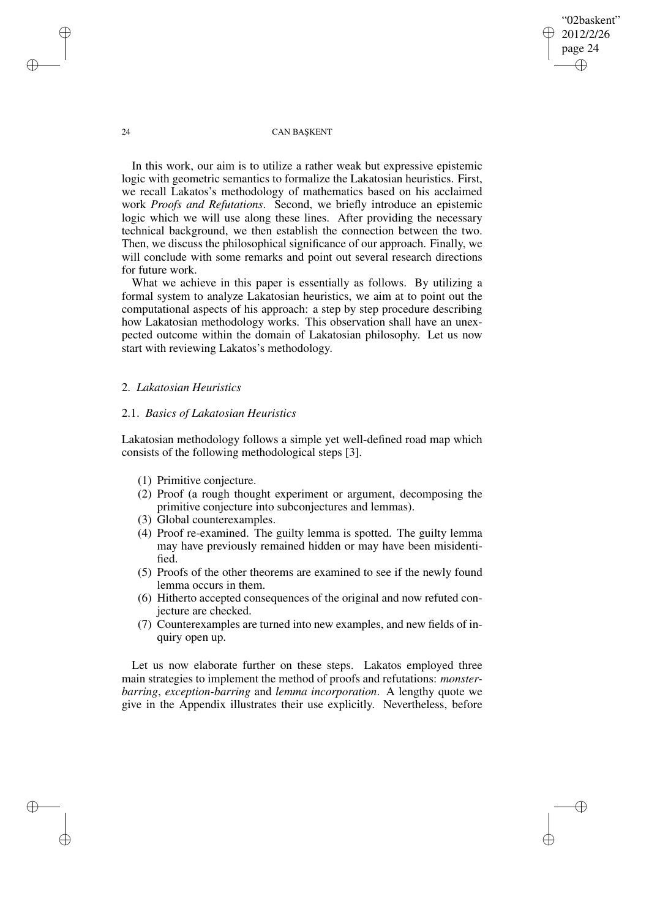"02baskent" 2012/2/26 page 24 ✐ ✐

✐

✐

#### 24 CAN BASKENT

In this work, our aim is to utilize a rather weak but expressive epistemic logic with geometric semantics to formalize the Lakatosian heuristics. First, we recall Lakatos's methodology of mathematics based on his acclaimed work *Proofs and Refutations*. Second, we briefly introduce an epistemic logic which we will use along these lines. After providing the necessary technical background, we then establish the connection between the two. Then, we discuss the philosophical significance of our approach. Finally, we will conclude with some remarks and point out several research directions for future work.

What we achieve in this paper is essentially as follows. By utilizing a formal system to analyze Lakatosian heuristics, we aim at to point out the computational aspects of his approach: a step by step procedure describing how Lakatosian methodology works. This observation shall have an unexpected outcome within the domain of Lakatosian philosophy. Let us now start with reviewing Lakatos's methodology.

# 2. *Lakatosian Heuristics*

# 2.1. *Basics of Lakatosian Heuristics*

Lakatosian methodology follows a simple yet well-defined road map which consists of the following methodological steps [3].

- (1) Primitive conjecture.
- (2) Proof (a rough thought experiment or argument, decomposing the primitive conjecture into subconjectures and lemmas).
- (3) Global counterexamples.
- (4) Proof re-examined. The guilty lemma is spotted. The guilty lemma may have previously remained hidden or may have been misidentified.
- (5) Proofs of the other theorems are examined to see if the newly found lemma occurs in them.
- (6) Hitherto accepted consequences of the original and now refuted conjecture are checked.
- (7) Counterexamples are turned into new examples, and new fields of inquiry open up.

Let us now elaborate further on these steps. Lakatos employed three main strategies to implement the method of proofs and refutations: *monsterbarring*, *exception-barring* and *lemma incorporation*. A lengthy quote we give in the Appendix illustrates their use explicitly. Nevertheless, before

✐

✐

✐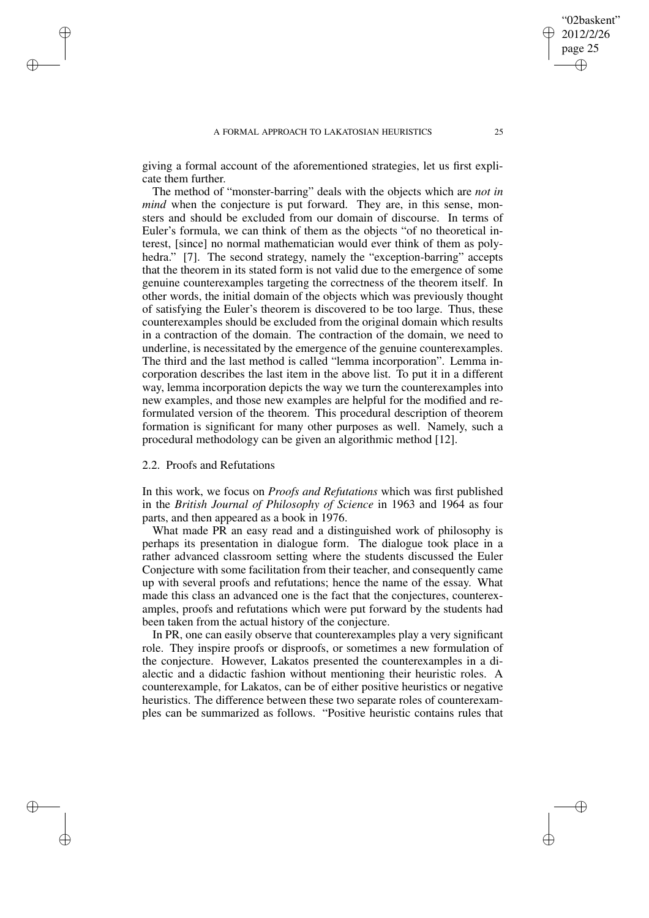giving a formal account of the aforementioned strategies, let us first explicate them further.

The method of "monster-barring" deals with the objects which are *not in mind* when the conjecture is put forward. They are, in this sense, monsters and should be excluded from our domain of discourse. In terms of Euler's formula, we can think of them as the objects "of no theoretical interest, [since] no normal mathematician would ever think of them as polyhedra." [7]. The second strategy, namely the "exception-barring" accepts that the theorem in its stated form is not valid due to the emergence of some genuine counterexamples targeting the correctness of the theorem itself. In other words, the initial domain of the objects which was previously thought of satisfying the Euler's theorem is discovered to be too large. Thus, these counterexamples should be excluded from the original domain which results in a contraction of the domain. The contraction of the domain, we need to underline, is necessitated by the emergence of the genuine counterexamples. The third and the last method is called "lemma incorporation". Lemma incorporation describes the last item in the above list. To put it in a different way, lemma incorporation depicts the way we turn the counterexamples into new examples, and those new examples are helpful for the modified and reformulated version of the theorem. This procedural description of theorem formation is significant for many other purposes as well. Namely, such a procedural methodology can be given an algorithmic method [12].

2.2. Proofs and Refutations

✐

✐

✐

✐

In this work, we focus on *Proofs and Refutations* which was first published in the *British Journal of Philosophy of Science* in 1963 and 1964 as four parts, and then appeared as a book in 1976.

What made PR an easy read and a distinguished work of philosophy is perhaps its presentation in dialogue form. The dialogue took place in a rather advanced classroom setting where the students discussed the Euler Conjecture with some facilitation from their teacher, and consequently came up with several proofs and refutations; hence the name of the essay. What made this class an advanced one is the fact that the conjectures, counterexamples, proofs and refutations which were put forward by the students had been taken from the actual history of the conjecture.

In PR, one can easily observe that counterexamples play a very significant role. They inspire proofs or disproofs, or sometimes a new formulation of the conjecture. However, Lakatos presented the counterexamples in a dialectic and a didactic fashion without mentioning their heuristic roles. A counterexample, for Lakatos, can be of either positive heuristics or negative heuristics. The difference between these two separate roles of counterexamples can be summarized as follows. "Positive heuristic contains rules that

"02baskent" 2012/2/26 page 25

✐

✐

✐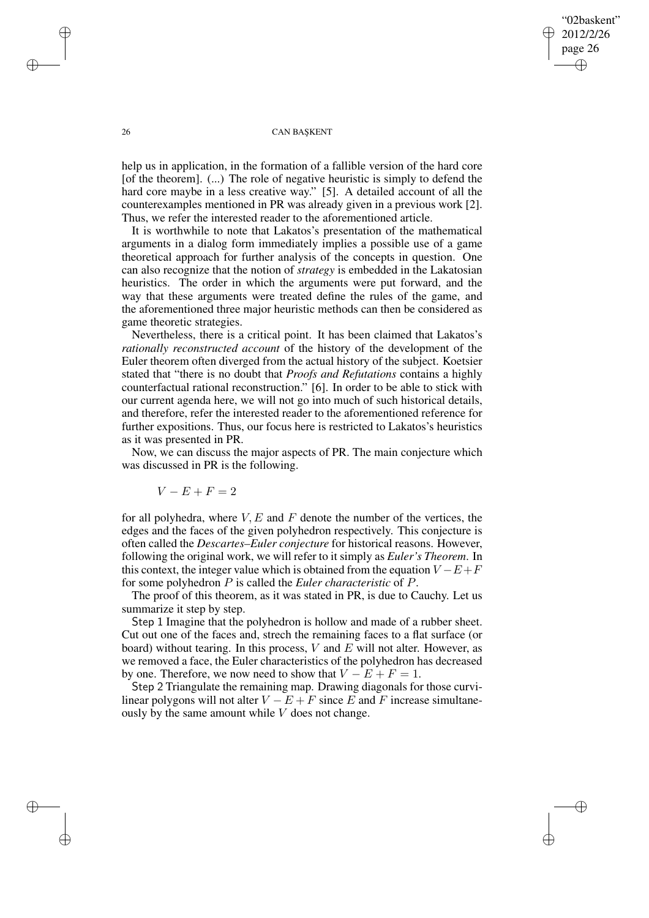"02baskent" 2012/2/26 page 26 ✐ ✐

✐

✐

#### 26 CAN BASKENT

help us in application, in the formation of a fallible version of the hard core [of the theorem]. (...) The role of negative heuristic is simply to defend the hard core maybe in a less creative way." [5]. A detailed account of all the counterexamples mentioned in PR was already given in a previous work [2]. Thus, we refer the interested reader to the aforementioned article.

It is worthwhile to note that Lakatos's presentation of the mathematical arguments in a dialog form immediately implies a possible use of a game theoretical approach for further analysis of the concepts in question. One can also recognize that the notion of *strategy* is embedded in the Lakatosian heuristics. The order in which the arguments were put forward, and the way that these arguments were treated define the rules of the game, and the aforementioned three major heuristic methods can then be considered as game theoretic strategies.

Nevertheless, there is a critical point. It has been claimed that Lakatos's *rationally reconstructed account* of the history of the development of the Euler theorem often diverged from the actual history of the subject. Koetsier stated that "there is no doubt that *Proofs and Refutations* contains a highly counterfactual rational reconstruction." [6]. In order to be able to stick with our current agenda here, we will not go into much of such historical details, and therefore, refer the interested reader to the aforementioned reference for further expositions. Thus, our focus here is restricted to Lakatos's heuristics as it was presented in PR.

Now, we can discuss the major aspects of PR. The main conjecture which was discussed in PR is the following.

$$
V - E + F = 2
$$

for all polyhedra, where  $V, E$  and  $F$  denote the number of the vertices, the edges and the faces of the given polyhedron respectively. This conjecture is often called the *Descartes–Euler conjecture* for historical reasons. However, following the original work, we will refer to it simply as *Euler's Theorem*. In this context, the integer value which is obtained from the equation  $V - E + F$ for some polyhedron P is called the *Euler characteristic* of P.

The proof of this theorem, as it was stated in PR, is due to Cauchy. Let us summarize it step by step.

Step 1 Imagine that the polyhedron is hollow and made of a rubber sheet. Cut out one of the faces and, strech the remaining faces to a flat surface (or board) without tearing. In this process,  $V$  and  $E$  will not alter. However, as we removed a face, the Euler characteristics of the polyhedron has decreased by one. Therefore, we now need to show that  $V - E + F = 1$ .

Step 2 Triangulate the remaining map. Drawing diagonals for those curvilinear polygons will not alter  $V - E + F$  since E and F increase simultaneously by the same amount while  $V$  does not change.

✐

✐

✐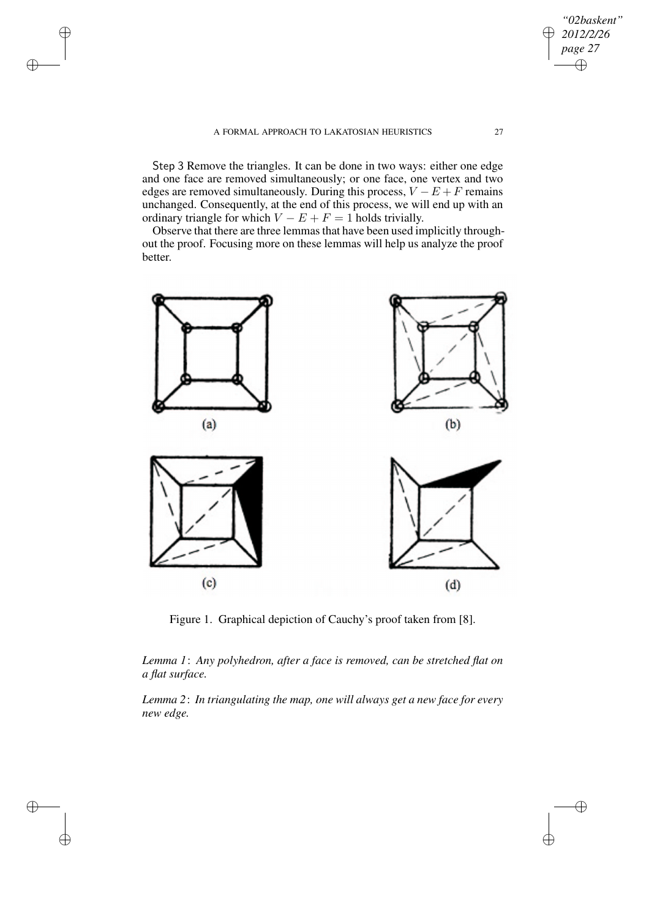✐

✐

✐

Step 3 Remove the triangles. It can be done in two ways: either one edge and one face are removed simultaneously; or one face, one vertex and two edges are removed simultaneously. During this process,  $V - E + F$  remains unchanged. Consequently, at the end of this process, we will end up with an ordinary triangle for which  $V - E + F = 1$  holds trivially.

Observe that there are three lemmas that have been used implicitly throughout the proof. Focusing more on these lemmas will help us analyze the proof better.



Figure 1. Graphical depiction of Cauchy's proof taken from [8].

*Lemma 1*: *Any polyhedron, after a face is removed, can be stretched flat on a flat surface.*

*Lemma 2*: *In triangulating the map, one will always get a new face for every new edge.*

*"02baskent" 2012/2/26 page 27*

 $\overline{\oplus}$ 

 $\bigoplus$ 

✐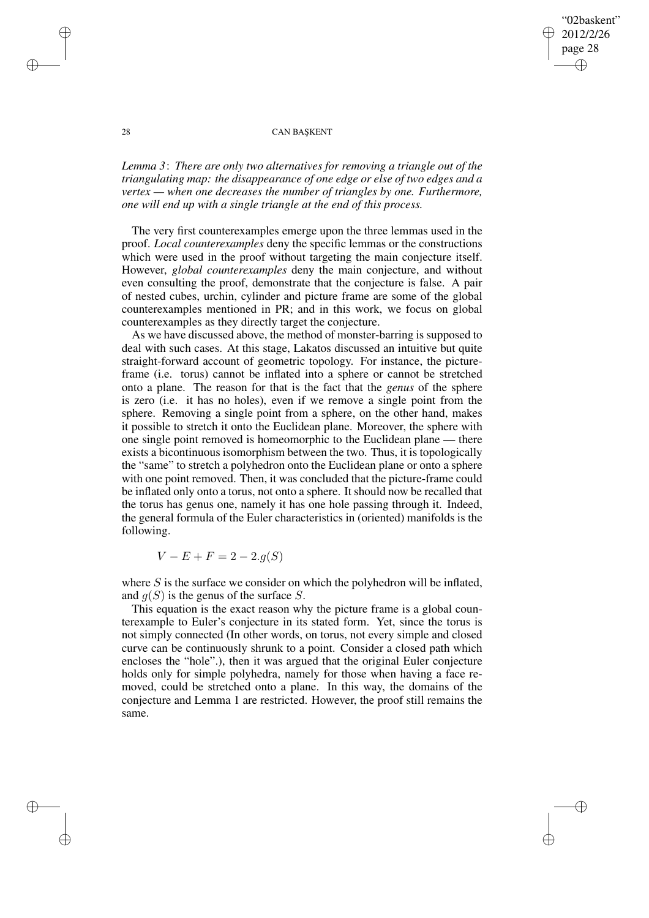## "02baskent" 2012/2/26 page 28 ✐ ✐

✐

✐

#### 28 CAN BASKENT

*Lemma 3*: *There are only two alternatives for removing a triangle out of the triangulating map: the disappearance of one edge or else of two edges and a vertex — when one decreases the number of triangles by one. Furthermore, one will end up with a single triangle at the end of this process.*

The very first counterexamples emerge upon the three lemmas used in the proof. *Local counterexamples* deny the specific lemmas or the constructions which were used in the proof without targeting the main conjecture itself. However, *global counterexamples* deny the main conjecture, and without even consulting the proof, demonstrate that the conjecture is false. A pair of nested cubes, urchin, cylinder and picture frame are some of the global counterexamples mentioned in PR; and in this work, we focus on global counterexamples as they directly target the conjecture.

As we have discussed above, the method of monster-barring is supposed to deal with such cases. At this stage, Lakatos discussed an intuitive but quite straight-forward account of geometric topology. For instance, the pictureframe (i.e. torus) cannot be inflated into a sphere or cannot be stretched onto a plane. The reason for that is the fact that the *genus* of the sphere is zero (i.e. it has no holes), even if we remove a single point from the sphere. Removing a single point from a sphere, on the other hand, makes it possible to stretch it onto the Euclidean plane. Moreover, the sphere with one single point removed is homeomorphic to the Euclidean plane — there exists a bicontinuous isomorphism between the two. Thus, it is topologically the "same" to stretch a polyhedron onto the Euclidean plane or onto a sphere with one point removed. Then, it was concluded that the picture-frame could be inflated only onto a torus, not onto a sphere. It should now be recalled that the torus has genus one, namely it has one hole passing through it. Indeed, the general formula of the Euler characteristics in (oriented) manifolds is the following.

$$
V - E + F = 2 - 2 \cdot g(S)
$$

where  $S$  is the surface we consider on which the polyhedron will be inflated, and  $q(S)$  is the genus of the surface S.

This equation is the exact reason why the picture frame is a global counterexample to Euler's conjecture in its stated form. Yet, since the torus is not simply connected (In other words, on torus, not every simple and closed curve can be continuously shrunk to a point. Consider a closed path which encloses the "hole".), then it was argued that the original Euler conjecture holds only for simple polyhedra, namely for those when having a face removed, could be stretched onto a plane. In this way, the domains of the conjecture and Lemma 1 are restricted. However, the proof still remains the same.

✐

✐

✐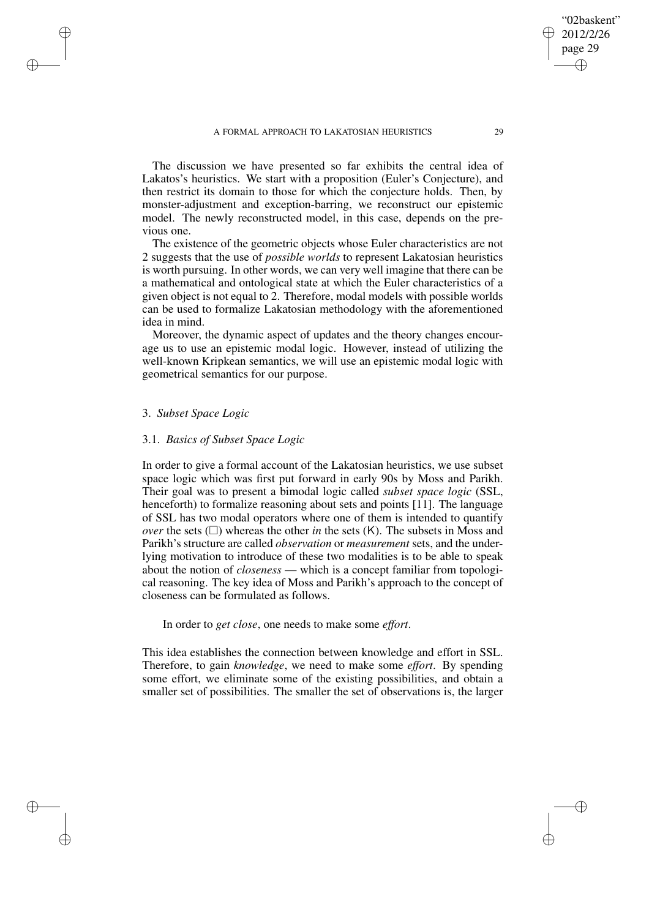#### A FORMAL APPROACH TO LAKATOSIAN HEURISTICS 29

The discussion we have presented so far exhibits the central idea of Lakatos's heuristics. We start with a proposition (Euler's Conjecture), and then restrict its domain to those for which the conjecture holds. Then, by monster-adjustment and exception-barring, we reconstruct our epistemic model. The newly reconstructed model, in this case, depends on the previous one.

The existence of the geometric objects whose Euler characteristics are not 2 suggests that the use of *possible worlds* to represent Lakatosian heuristics is worth pursuing. In other words, we can very well imagine that there can be a mathematical and ontological state at which the Euler characteristics of a given object is not equal to 2. Therefore, modal models with possible worlds can be used to formalize Lakatosian methodology with the aforementioned idea in mind.

Moreover, the dynamic aspect of updates and the theory changes encourage us to use an epistemic modal logic. However, instead of utilizing the well-known Kripkean semantics, we will use an epistemic modal logic with geometrical semantics for our purpose.

# 3. *Subset Space Logic*

✐

✐

✐

✐

## 3.1. *Basics of Subset Space Logic*

In order to give a formal account of the Lakatosian heuristics, we use subset space logic which was first put forward in early 90s by Moss and Parikh. Their goal was to present a bimodal logic called *subset space logic* (SSL, henceforth) to formalize reasoning about sets and points [11]. The language of SSL has two modal operators where one of them is intended to quantify *over* the sets  $(\square)$  whereas the other *in* the sets  $(K)$ . The subsets in Moss and Parikh's structure are called *observation* or *measurement* sets, and the underlying motivation to introduce of these two modalities is to be able to speak about the notion of *closeness* — which is a concept familiar from topological reasoning. The key idea of Moss and Parikh's approach to the concept of closeness can be formulated as follows.

In order to *get close*, one needs to make some *effort*.

This idea establishes the connection between knowledge and effort in SSL. Therefore, to gain *knowledge*, we need to make some *effort*. By spending some effort, we eliminate some of the existing possibilities, and obtain a smaller set of possibilities. The smaller the set of observations is, the larger

"02baskent" 2012/2/26 page 29

✐

✐

✐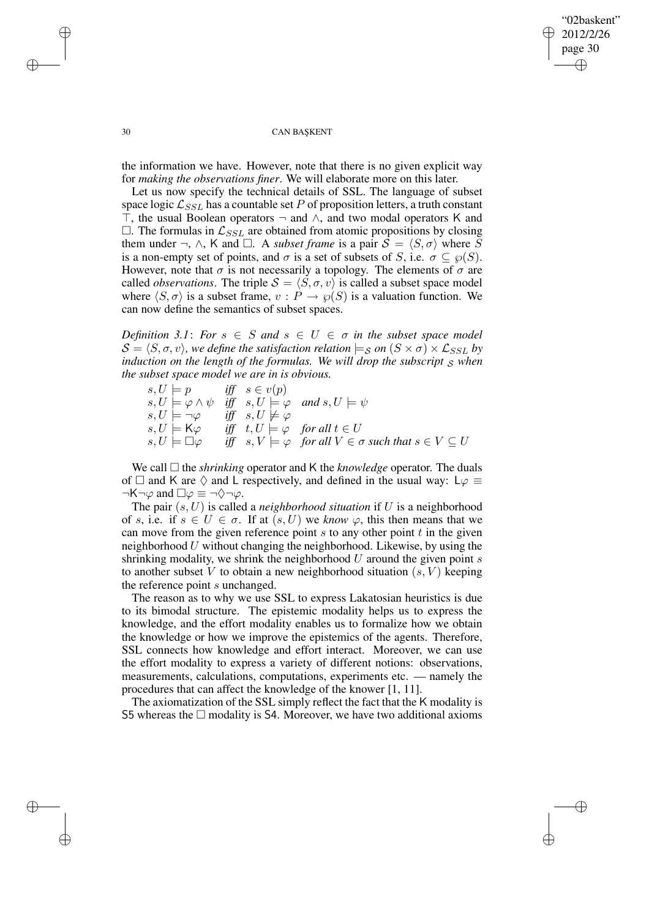✐

#### 30 CAN BASKENT

the information we have. However, note that there is no given explicit way for *making the observations finer*. We will elaborate more on this later.

Let us now specify the technical details of SSL. The language of subset space logic  $\mathcal{L}_{SSL}$  has a countable set P of proposition letters, a truth constant  $\top$ , the usual Boolean operators  $\neg$  and  $\land$ , and two modal operators K and  $\Box$ . The formulas in  $\mathcal{L}_{SSL}$  are obtained from atomic propositions by closing them under  $\neg$ ,  $\wedge$ , K and  $\Box$ . A *subset frame* is a pair  $\mathcal{S} = \langle S, \sigma \rangle$  where S is a non-empty set of points, and  $\sigma$  is a set of subsets of S, i.e.  $\sigma \subset \varphi(S)$ . However, note that  $\sigma$  is not necessarily a topology. The elements of  $\sigma$  are called *observations*. The triple  $S = \langle S, \sigma, v \rangle$  is called a subset space model where  $\langle S, \sigma \rangle$  is a subset frame,  $v : P \to \varphi(S)$  is a valuation function. We can now define the semantics of subset spaces.

*Definition* 3.1: *For*  $s \in S$  *and*  $s \in U \in \sigma$  *in the subset space model*  $S = \langle S, \sigma, v \rangle$ *, we define the satisfaction relation*  $\models_S \textit{on}(S \times \sigma) \times \mathcal{L}_{SSL}$  *by induction on the length of the formulas. We will drop the subscript*  $<sub>S</sub>$  *when*</sub> *the subset space model we are in is obvious.*

 $s, U \models p$  *iff*  $s \in v(p)$  $s, U \models \varphi \land \psi \text{ iff } s, U \models \varphi \text{ and } s, U \models \psi$  $s, U \models \neg \varphi$  *iff*  $s, U \not\models \varphi$  $s, U \models \mathsf{K}\varphi$  *iff*  $t, U \models \varphi$  for all  $t \in U$  $s, U \models \Box \varphi$  *iff*  $s, V \models \varphi$  for all  $V \in \sigma$  such that  $s \in V \subseteq U$ 

We call  $\Box$  the *shrinking* operator and K the *knowledge* operator. The duals of  $\Box$  and K are  $\Diamond$  and L respectively, and defined in the usual way: L $\varphi \equiv$  $\neg K \neg \varphi$  and  $\Box \varphi \equiv \neg \Diamond \neg \varphi$ .

The pair  $(s, U)$  is called a *neighborhood situation* if U is a neighborhood of s, i.e. if  $s \in U \in \sigma$ . If at  $(s, U)$  we know  $\varphi$ , this then means that we can move from the given reference point  $s$  to any other point  $t$  in the given neighborhood  $U$  without changing the neighborhood. Likewise, by using the shrinking modality, we shrink the neighborhood  $U$  around the given point  $s$ to another subset V to obtain a new neighborhood situation  $(s, V)$  keeping the reference point s unchanged.

The reason as to why we use SSL to express Lakatosian heuristics is due to its bimodal structure. The epistemic modality helps us to express the knowledge, and the effort modality enables us to formalize how we obtain the knowledge or how we improve the epistemics of the agents. Therefore, SSL connects how knowledge and effort interact. Moreover, we can use the effort modality to express a variety of different notions: observations, measurements, calculations, computations, experiments etc. — namely the procedures that can affect the knowledge of the knower [1, 11].

The axiomatization of the SSL simply reflect the fact that the K modality is S5 whereas the  $\Box$  modality is S4. Moreover, we have two additional axioms

✐

✐

✐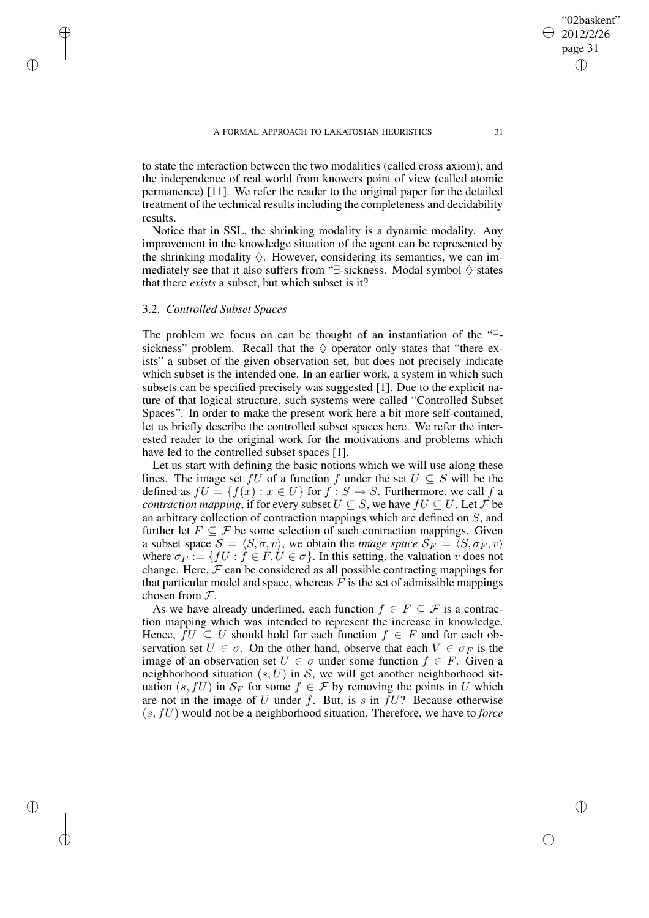to state the interaction between the two modalities (called cross axiom); and the independence of real world from knowers point of view (called atomic permanence) [11]. We refer the reader to the original paper for the detailed treatment of the technical resultsincluding the completeness and decidability results.

Notice that in SSL, the shrinking modality is a dynamic modality. Any improvement in the knowledge situation of the agent can be represented by the shrinking modality  $\Diamond$ . However, considering its semantics, we can immediately see that it also suffers from "∃-sickness. Modal symbol  $\Diamond$  states that there *exists* a subset, but which subset is it?

## 3.2. *Controlled Subset Spaces*

✐

✐

✐

✐

The problem we focus on can be thought of an instantiation of the "∃ sickness" problem. Recall that the  $\Diamond$  operator only states that "there exists" a subset of the given observation set, but does not precisely indicate which subset is the intended one. In an earlier work, a system in which such subsets can be specified precisely was suggested [1]. Due to the explicit nature of that logical structure, such systems were called "Controlled Subset Spaces". In order to make the present work here a bit more self-contained, let us briefly describe the controlled subset spaces here. We refer the interested reader to the original work for the motivations and problems which have led to the controlled subset spaces [1].

Let us start with defining the basic notions which we will use along these lines. The image set fU of a function f under the set  $U \subseteq S$  will be the defined as  $fU = \{f(x) : x \in U\}$  for  $f : S \to S$ . Furthermore, we call f a *contraction mapping*, if for every subset  $U \subseteq S$ , we have  $fU \subseteq U$ . Let F be an arbitrary collection of contraction mappings which are defined on S, and further let  $F \subseteq \mathcal{F}$  be some selection of such contraction mappings. Given a subset space  $S = \langle S, \sigma, v \rangle$ , we obtain the *image space*  $S_F = \langle S, \sigma_F, v \rangle$ where  $\sigma_F := \{ fU : f \in F, U \in \sigma \}$ . In this setting, the valuation v does not change. Here,  $\mathcal F$  can be considered as all possible contracting mappings for that particular model and space, whereas  $F$  is the set of admissible mappings chosen from  $\mathcal{F}$ .

As we have already underlined, each function  $f \in F \subseteq \mathcal{F}$  is a contraction mapping which was intended to represent the increase in knowledge. Hence,  $fU \subseteq U$  should hold for each function  $f \in F$  and for each observation set  $U \in \sigma$ . On the other hand, observe that each  $V \in \sigma_F$  is the image of an observation set  $U \in \sigma$  under some function  $f \in F$ . Given a neighborhood situation  $(s, U)$  in S, we will get another neighborhood situation  $(s, fU)$  in  $S_F$  for some  $f \in \mathcal{F}$  by removing the points in U which are not in the image of U under f. But, is s in  $fU$ ? Because otherwise (s, fU) would not be a neighborhood situation. Therefore, we have to *force*

"02baskent" 2012/2/26 page 31

✐

✐

✐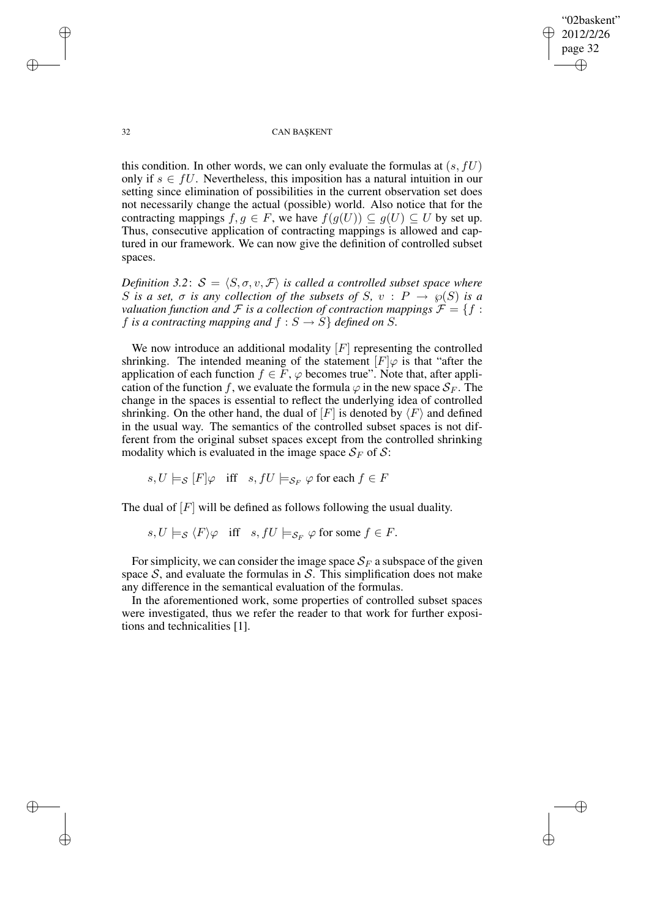✐

#### 32 CAN BASKENT

this condition. In other words, we can only evaluate the formulas at  $(s, fU)$ only if  $s \in fU$ . Nevertheless, this imposition has a natural intuition in our setting since elimination of possibilities in the current observation set does not necessarily change the actual (possible) world. Also notice that for the contracting mappings  $f, g \in F$ , we have  $f(g(U)) \subseteq g(U) \subseteq U$  by set up. Thus, consecutive application of contracting mappings is allowed and captured in our framework. We can now give the definition of controlled subset spaces.

*Definition* 3.2:  $S = \langle S, \sigma, v, \mathcal{F} \rangle$  *is called a controlled subset space where* S is a set,  $\sigma$  is any collection of the subsets of S,  $v : P \to \wp(S)$  is a *valuation function and*  $\mathcal F$  *is a collection of contraction mappings*  $\mathcal F = \{f :$ f is a contracting mapping and  $f : S \to S$  *defined on* S.

We now introduce an additional modality  $[F]$  representing the controlled shrinking. The intended meaning of the statement  $[F]\varphi$  is that "after the application of each function  $f \in F$ ,  $\varphi$  becomes true". Note that, after application of the function f, we evaluate the formula  $\varphi$  in the new space  $S_F$ . The change in the spaces is essential to reflect the underlying idea of controlled shrinking. On the other hand, the dual of  $[F]$  is denoted by  $\langle F \rangle$  and defined in the usual way. The semantics of the controlled subset spaces is not different from the original subset spaces except from the controlled shrinking modality which is evaluated in the image space  $S_F$  of S:

 $s, U \models_S [F] \varphi$  iff  $s, fU \models_{\mathcal{S}_F} \varphi$  for each  $f \in F$ 

The dual of  $[F]$  will be defined as follows following the usual duality.

 $s, U \models_S \langle F \rangle \varphi$  iff  $s, fU \models_{\mathcal{S}_F} \varphi$  for some  $f \in F$ .

For simplicity, we can consider the image space  $S_F$  a subspace of the given space  $S$ , and evaluate the formulas in  $S$ . This simplification does not make any difference in the semantical evaluation of the formulas.

In the aforementioned work, some properties of controlled subset spaces were investigated, thus we refer the reader to that work for further expositions and technicalities [1].

✐

✐

✐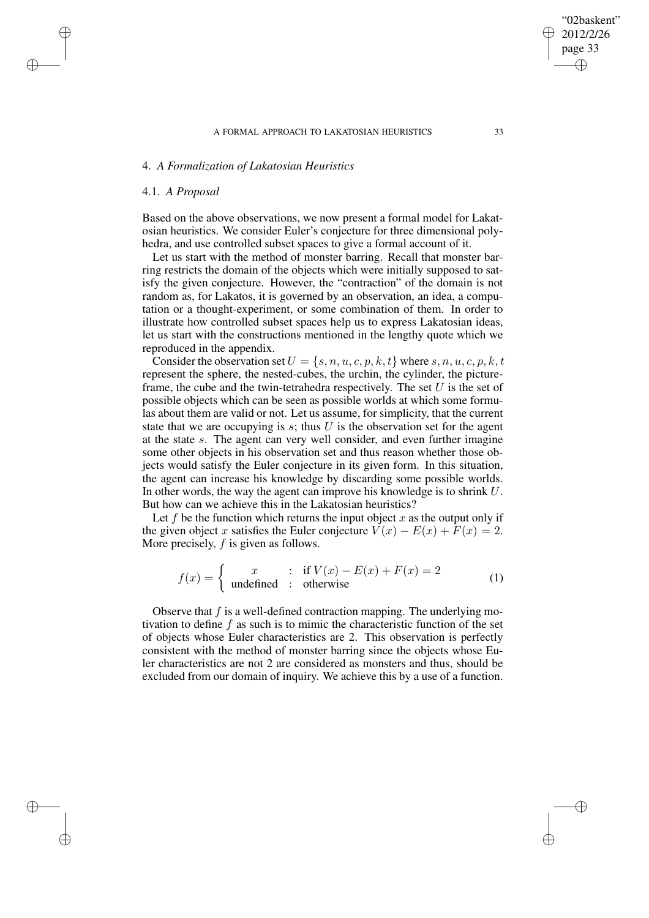#### A FORMAL APPROACH TO LAKATOSIAN HEURISTICS 33

# 4. *A Formalization of Lakatosian Heuristics*

## 4.1. *A Proposal*

✐

✐

✐

✐

Based on the above observations, we now present a formal model for Lakatosian heuristics. We consider Euler's conjecture for three dimensional polyhedra, and use controlled subset spaces to give a formal account of it.

Let us start with the method of monster barring. Recall that monster barring restricts the domain of the objects which were initially supposed to satisfy the given conjecture. However, the "contraction" of the domain is not random as, for Lakatos, it is governed by an observation, an idea, a computation or a thought-experiment, or some combination of them. In order to illustrate how controlled subset spaces help us to express Lakatosian ideas, let us start with the constructions mentioned in the lengthy quote which we reproduced in the appendix.

Consider the observation set  $U = \{s, n, u, c, p, k, t\}$  where  $s, n, u, c, p, k, t$ represent the sphere, the nested-cubes, the urchin, the cylinder, the pictureframe, the cube and the twin-tetrahedra respectively. The set  $U$  is the set of possible objects which can be seen as possible worlds at which some formulas about them are valid or not. Let us assume, for simplicity, that the current state that we are occupying is  $s$ ; thus  $U$  is the observation set for the agent at the state s. The agent can very well consider, and even further imagine some other objects in his observation set and thus reason whether those objects would satisfy the Euler conjecture in its given form. In this situation, the agent can increase his knowledge by discarding some possible worlds. In other words, the way the agent can improve his knowledge is to shrink U. But how can we achieve this in the Lakatosian heuristics?

Let f be the function which returns the input object x as the output only if the given object x satisfies the Euler conjecture  $V(x) - E(x) + F(x) = 2$ . More precisely, f is given as follows.

$$
f(x) = \begin{cases} x & \text{if } V(x) - E(x) + F(x) = 2\\ \text{undefined} & \text{otherwise} \end{cases}
$$
 (1)

Observe that  $f$  is a well-defined contraction mapping. The underlying motivation to define  $f$  as such is to mimic the characteristic function of the set of objects whose Euler characteristics are 2. This observation is perfectly consistent with the method of monster barring since the objects whose Euler characteristics are not 2 are considered as monsters and thus, should be excluded from our domain of inquiry. We achieve this by a use of a function.

"02baskent" 2012/2/26 page 33

✐

✐

✐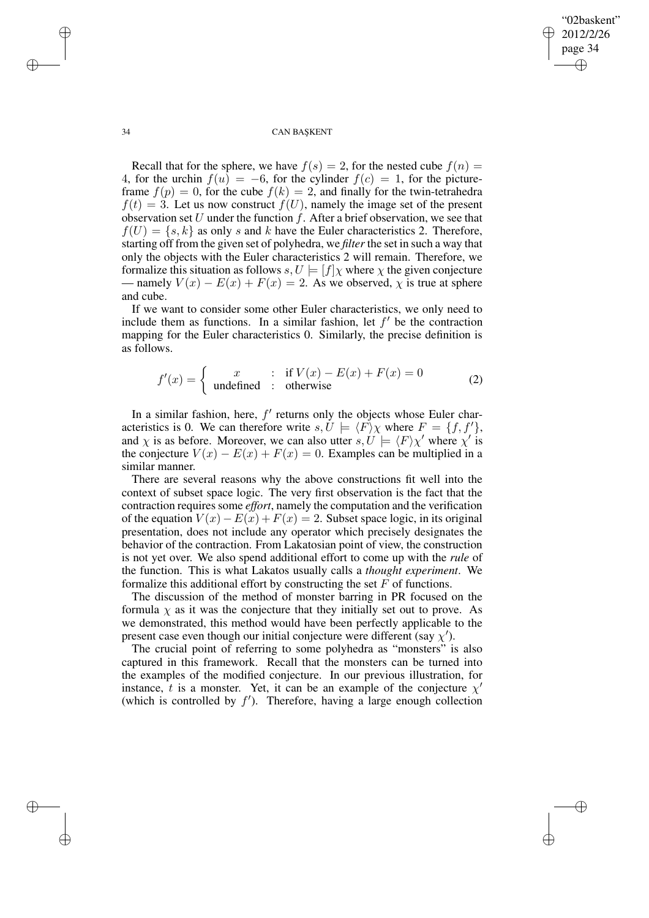✐

#### 34 CAN BASKENT

Recall that for the sphere, we have  $f(s) = 2$ , for the nested cube  $f(n) =$ 4, for the urchin  $f(u) = -6$ , for the cylinder  $f(c) = 1$ , for the pictureframe  $f(p) = 0$ , for the cube  $f(k) = 2$ , and finally for the twin-tetrahedra  $f(t) = 3$ . Let us now construct  $f(U)$ , namely the image set of the present observation set  $U$  under the function  $f$ . After a brief observation, we see that  $f(U) = \{s, k\}$  as only s and k have the Euler characteristics 2. Therefore, starting off from the given set of polyhedra, we *filter* the set in such a way that only the objects with the Euler characteristics 2 will remain. Therefore, we formalize this situation as follows  $s, U \models |f|\chi$  where  $\chi$  the given conjecture — namely  $V(x) - E(x) + F(x) = 2$ . As we observed,  $\chi$  is true at sphere and cube.

If we want to consider some other Euler characteristics, we only need to include them as functions. In a similar fashion, let  $f'$  be the contraction mapping for the Euler characteristics 0. Similarly, the precise definition is as follows.

$$
f'(x) = \begin{cases} x & \text{if } V(x) - E(x) + F(x) = 0 \\ \text{undefined} & \text{otherwise} \end{cases}
$$
 (2)

In a similar fashion, here,  $f'$  returns only the objects whose Euler characteristics is 0. We can therefore write  $s, U \models \langle F \rangle \chi$  where  $F = \{f, f'\},\$ and  $\chi$  is as before. Moreover, we can also utter  $s, U \models \langle F \rangle \chi'$  where  $\chi'$  is the conjecture  $V(x) - E(x) + F(x) = 0$ . Examples can be multiplied in a similar manner.

There are several reasons why the above constructions fit well into the context of subset space logic. The very first observation is the fact that the contraction requires some *effort*, namely the computation and the verification of the equation  $V(x) - E(x) + F(x) = 2$ . Subset space logic, in its original presentation, does not include any operator which precisely designates the behavior of the contraction. From Lakatosian point of view, the construction is not yet over. We also spend additional effort to come up with the *rule* of the function. This is what Lakatos usually calls a *thought experiment*. We formalize this additional effort by constructing the set  $F$  of functions.

The discussion of the method of monster barring in PR focused on the formula  $\chi$  as it was the conjecture that they initially set out to prove. As we demonstrated, this method would have been perfectly applicable to the present case even though our initial conjecture were different (say  $\chi'$ ).

The crucial point of referring to some polyhedra as "monsters" is also captured in this framework. Recall that the monsters can be turned into the examples of the modified conjecture. In our previous illustration, for instance, t is a monster. Yet, it can be an example of the conjecture  $\chi'$ (which is controlled by  $f'$ ). Therefore, having a large enough collection

✐

✐

✐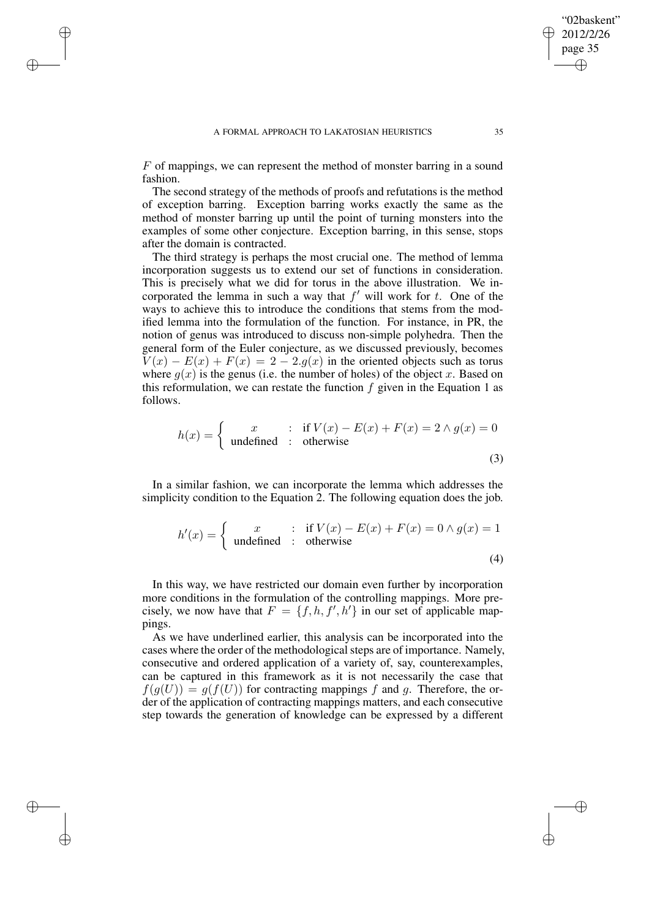✐

✐

✐

 $F$  of mappings, we can represent the method of monster barring in a sound fashion.

The second strategy of the methods of proofs and refutations is the method of exception barring. Exception barring works exactly the same as the method of monster barring up until the point of turning monsters into the examples of some other conjecture. Exception barring, in this sense, stops after the domain is contracted.

The third strategy is perhaps the most crucial one. The method of lemma incorporation suggests us to extend our set of functions in consideration. This is precisely what we did for torus in the above illustration. We incorporated the lemma in such a way that  $f'$  will work for t. One of the ways to achieve this to introduce the conditions that stems from the modified lemma into the formulation of the function. For instance, in PR, the notion of genus was introduced to discuss non-simple polyhedra. Then the general form of the Euler conjecture, as we discussed previously, becomes  $V(x) - E(x) + F(x) = 2 - 2 \cdot g(x)$  in the oriented objects such as torus where  $g(x)$  is the genus (i.e. the number of holes) of the object x. Based on this reformulation, we can restate the function  $f$  given in the Equation 1 as follows.

$$
h(x) = \begin{cases} x & \text{: if } V(x) - E(x) + F(x) = 2 \land g(x) = 0 \\ \text{undefined} & \text{: otherwise} \end{cases}
$$
(3)

In a similar fashion, we can incorporate the lemma which addresses the simplicity condition to the Equation 2. The following equation does the job.

$$
h'(x) = \begin{cases} x & \text{: if } V(x) - E(x) + F(x) = 0 \land g(x) = 1 \\ \text{undefined} & \text{: otherwise} \end{cases}
$$
\n(4)

In this way, we have restricted our domain even further by incorporation more conditions in the formulation of the controlling mappings. More precisely, we now have that  $F = \{f, h, f', h'\}$  in our set of applicable mappings.

As we have underlined earlier, this analysis can be incorporated into the cases where the order of the methodological steps are of importance. Namely, consecutive and ordered application of a variety of, say, counterexamples, can be captured in this framework as it is not necessarily the case that  $f(g(U)) = g(f(U))$  for contracting mappings f and g. Therefore, the order of the application of contracting mappings matters, and each consecutive step towards the generation of knowledge can be expressed by a different

"02baskent" 2012/2/26 page 35

✐

✐

✐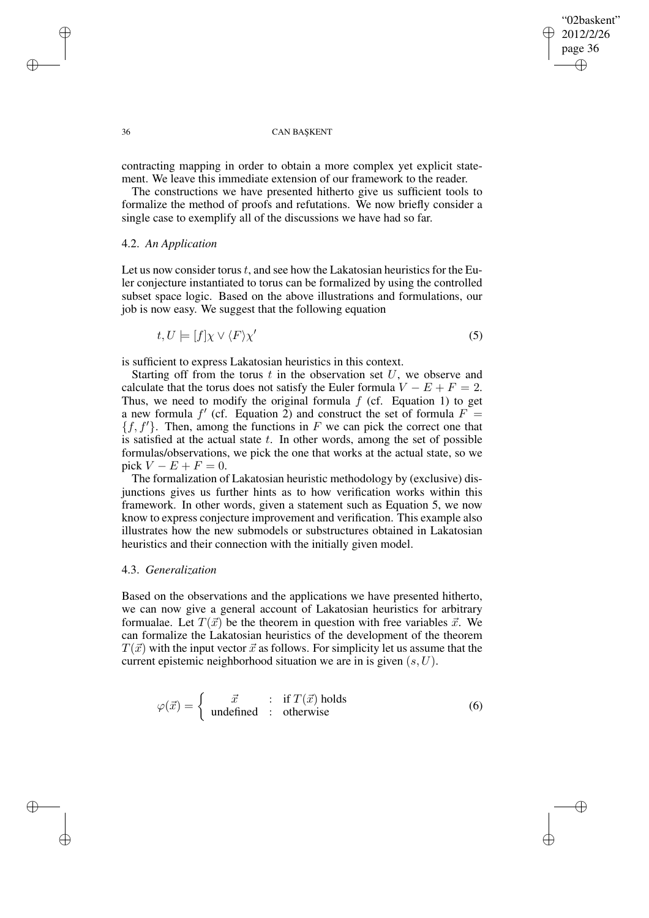✐

#### 36 CAN BASKENT

contracting mapping in order to obtain a more complex yet explicit statement. We leave this immediate extension of our framework to the reader.

The constructions we have presented hitherto give us sufficient tools to formalize the method of proofs and refutations. We now briefly consider a single case to exemplify all of the discussions we have had so far.

## 4.2. *An Application*

Let us now consider torus  $t$ , and see how the Lakatosian heuristics for the Euler conjecture instantiated to torus can be formalized by using the controlled subset space logic. Based on the above illustrations and formulations, our job is now easy. We suggest that the following equation

$$
t, U \models [f] \chi \lor \langle F \rangle \chi' \tag{5}
$$

is sufficient to express Lakatosian heuristics in this context.

Starting off from the torus  $t$  in the observation set  $U$ , we observe and calculate that the torus does not satisfy the Euler formula  $V - E + F = 2$ . Thus, we need to modify the original formula  $f$  (cf. Equation 1) to get a new formula  $f'$  (cf. Equation 2) and construct the set of formula  $F =$  ${f, f'}$ . Then, among the functions in F we can pick the correct one that is satisfied at the actual state  $t$ . In other words, among the set of possible formulas/observations, we pick the one that works at the actual state, so we pick  $V - E + F = 0$ .

The formalization of Lakatosian heuristic methodology by (exclusive) disjunctions gives us further hints as to how verification works within this framework. In other words, given a statement such as Equation 5, we now know to express conjecture improvement and verification. This example also illustrates how the new submodels or substructures obtained in Lakatosian heuristics and their connection with the initially given model.

## 4.3. *Generalization*

Based on the observations and the applications we have presented hitherto, we can now give a general account of Lakatosian heuristics for arbitrary formualae. Let  $T(\vec{x})$  be the theorem in question with free variables  $\vec{x}$ . We can formalize the Lakatosian heuristics of the development of the theorem  $T(\vec{x})$  with the input vector  $\vec{x}$  as follows. For simplicity let us assume that the current epistemic neighborhood situation we are in is given  $(s, U)$ .

$$
\varphi(\vec{x}) = \begin{cases}\n\vec{x} & \text{if } T(\vec{x}) \text{ holds} \\
\text{undefined} & \text{otherwise}\n\end{cases}
$$
\n(6)

✐

✐

✐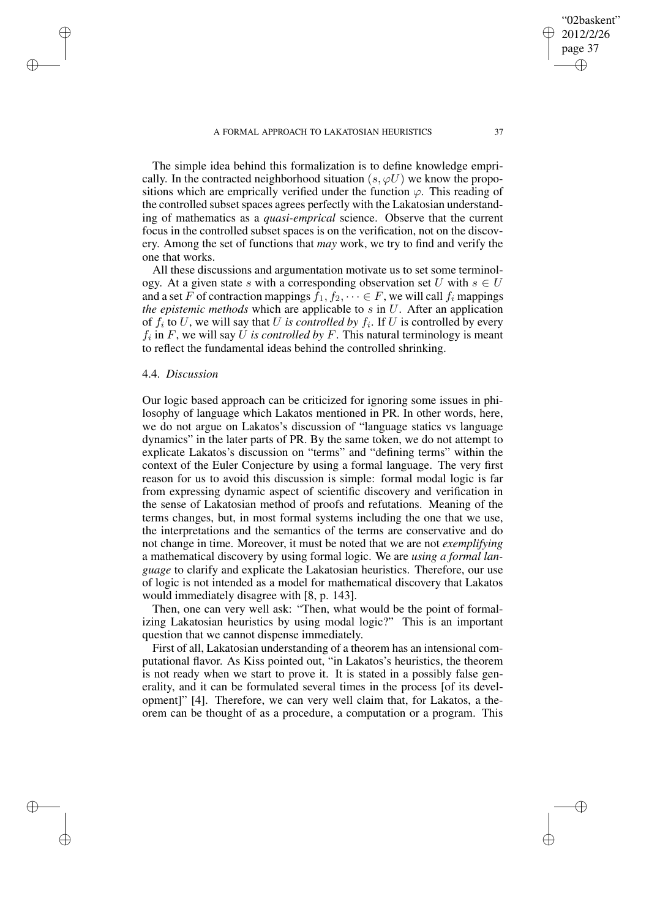The simple idea behind this formalization is to define knowledge emprically. In the contracted neighborhood situation  $(s, \varphi U)$  we know the propositions which are emprically verified under the function  $\varphi$ . This reading of the controlled subset spaces agrees perfectly with the Lakatosian understanding of mathematics as a *quasi-emprical* science. Observe that the current focus in the controlled subset spaces is on the verification, not on the discovery. Among the set of functions that *may* work, we try to find and verify the one that works.

All these discussions and argumentation motivate us to set some terminology. At a given state s with a corresponding observation set U with  $s \in U$ and a set F of contraction mappings  $f_1, f_2, \dots \in F$ , we will call  $f_i$  mappings *the epistemic methods* which are applicable to s in U. After an application of  $f_i$  to U, we will say that U is *controlled by*  $f_i$ . If U is controlled by every  $f_i$  in  $F$ , we will say  $U$  *is controlled by*  $F$ . This natural terminology is meant to reflect the fundamental ideas behind the controlled shrinking.

## 4.4. *Discussion*

✐

✐

✐

✐

Our logic based approach can be criticized for ignoring some issues in philosophy of language which Lakatos mentioned in PR. In other words, here, we do not argue on Lakatos's discussion of "language statics vs language dynamics" in the later parts of PR. By the same token, we do not attempt to explicate Lakatos's discussion on "terms" and "defining terms" within the context of the Euler Conjecture by using a formal language. The very first reason for us to avoid this discussion is simple: formal modal logic is far from expressing dynamic aspect of scientific discovery and verification in the sense of Lakatosian method of proofs and refutations. Meaning of the terms changes, but, in most formal systems including the one that we use, the interpretations and the semantics of the terms are conservative and do not change in time. Moreover, it must be noted that we are not *exemplifying* a mathematical discovery by using formal logic. We are *using a formal language* to clarify and explicate the Lakatosian heuristics. Therefore, our use of logic is not intended as a model for mathematical discovery that Lakatos would immediately disagree with [8, p. 143].

Then, one can very well ask: "Then, what would be the point of formalizing Lakatosian heuristics by using modal logic?" This is an important question that we cannot dispense immediately.

First of all, Lakatosian understanding of a theorem has an intensional computational flavor. As Kiss pointed out, "in Lakatos's heuristics, the theorem is not ready when we start to prove it. It is stated in a possibly false generality, and it can be formulated several times in the process [of its development]" [4]. Therefore, we can very well claim that, for Lakatos, a theorem can be thought of as a procedure, a computation or a program. This

"02baskent" 2012/2/26 page 37

✐

✐

✐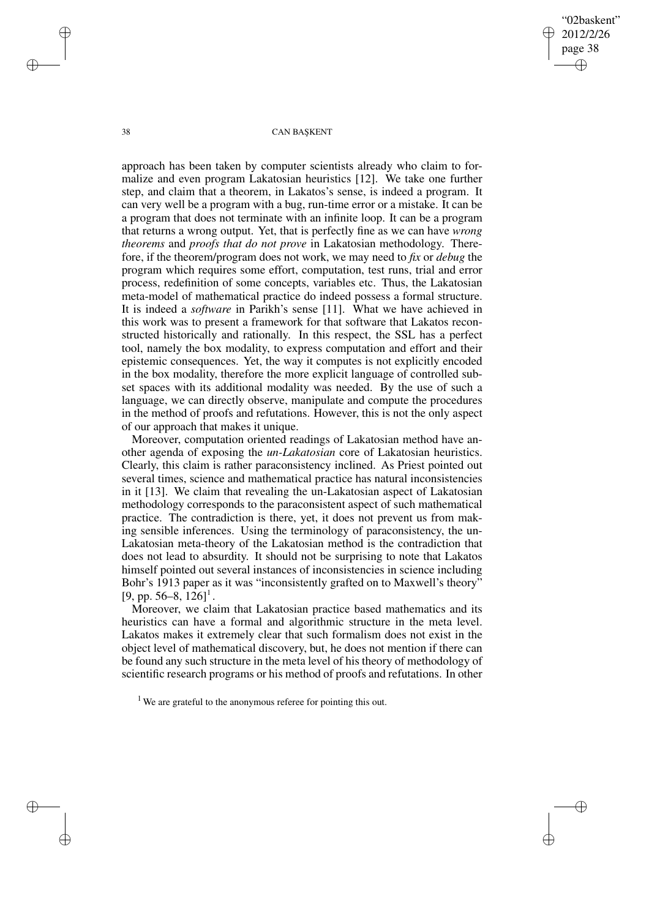"02baskent" 2012/2/26 page 38 ✐ ✐

✐

✐

#### 38 CAN BASKENT

approach has been taken by computer scientists already who claim to formalize and even program Lakatosian heuristics [12]. We take one further step, and claim that a theorem, in Lakatos's sense, is indeed a program. It can very well be a program with a bug, run-time error or a mistake. It can be a program that does not terminate with an infinite loop. It can be a program that returns a wrong output. Yet, that is perfectly fine as we can have *wrong theorems* and *proofs that do not prove* in Lakatosian methodology. Therefore, if the theorem/program does not work, we may need to *fix* or *debug* the program which requires some effort, computation, test runs, trial and error process, redefinition of some concepts, variables etc. Thus, the Lakatosian meta-model of mathematical practice do indeed possess a formal structure. It is indeed a *software* in Parikh's sense [11]. What we have achieved in this work was to present a framework for that software that Lakatos reconstructed historically and rationally. In this respect, the SSL has a perfect tool, namely the box modality, to express computation and effort and their epistemic consequences. Yet, the way it computes is not explicitly encoded in the box modality, therefore the more explicit language of controlled subset spaces with its additional modality was needed. By the use of such a language, we can directly observe, manipulate and compute the procedures in the method of proofs and refutations. However, this is not the only aspect of our approach that makes it unique.

Moreover, computation oriented readings of Lakatosian method have another agenda of exposing the *un-Lakatosian* core of Lakatosian heuristics. Clearly, this claim is rather paraconsistency inclined. As Priest pointed out several times, science and mathematical practice has natural inconsistencies in it [13]. We claim that revealing the un-Lakatosian aspect of Lakatosian methodology corresponds to the paraconsistent aspect of such mathematical practice. The contradiction is there, yet, it does not prevent us from making sensible inferences. Using the terminology of paraconsistency, the un-Lakatosian meta-theory of the Lakatosian method is the contradiction that does not lead to absurdity. It should not be surprising to note that Lakatos himself pointed out several instances of inconsistencies in science including Bohr's 1913 paper as it was "inconsistently grafted on to Maxwell's theory"  $[9, pp. 56–8, 126]$ <sup>1</sup>.

Moreover, we claim that Lakatosian practice based mathematics and its heuristics can have a formal and algorithmic structure in the meta level. Lakatos makes it extremely clear that such formalism does not exist in the object level of mathematical discovery, but, he does not mention if there can be found any such structure in the meta level of his theory of methodology of scientific research programs or his method of proofs and refutations. In other

✐

✐

✐

 $1$  We are grateful to the anonymous referee for pointing this out.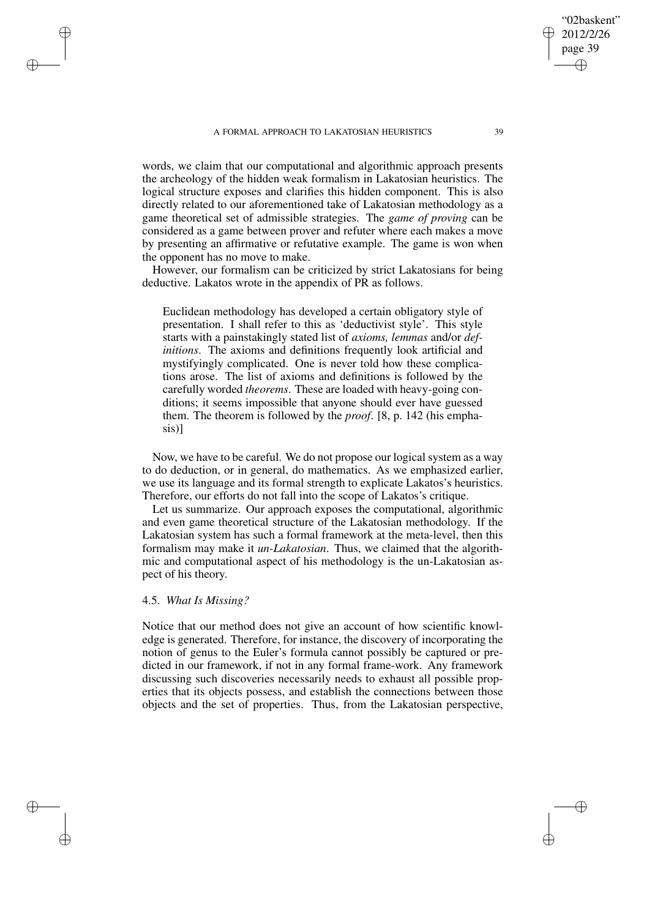#### A FORMAL APPROACH TO LAKATOSIAN HEURISTICS 39

words, we claim that our computational and algorithmic approach presents the archeology of the hidden weak formalism in Lakatosian heuristics. The logical structure exposes and clarifies this hidden component. This is also directly related to our aforementioned take of Lakatosian methodology as a game theoretical set of admissible strategies. The *game of proving* can be considered as a game between prover and refuter where each makes a move by presenting an affirmative or refutative example. The game is won when the opponent has no move to make.

However, our formalism can be criticized by strict Lakatosians for being deductive. Lakatos wrote in the appendix of PR as follows.

Euclidean methodology has developed a certain obligatory style of presentation. I shall refer to this as 'deductivist style'. This style starts with a painstakingly stated list of *axioms, lemmas* and/or *definitions*. The axioms and definitions frequently look artificial and mystifyingly complicated. One is never told how these complications arose. The list of axioms and definitions is followed by the carefully worded *theorems*. These are loaded with heavy-going conditions; it seems impossible that anyone should ever have guessed them. The theorem is followed by the *proof*. [8, p. 142 (his emphasis)]

Now, we have to be careful. We do not propose our logical system as a way to do deduction, or in general, do mathematics. As we emphasized earlier, we use its language and its formal strength to explicate Lakatos's heuristics. Therefore, our efforts do not fall into the scope of Lakatos's critique.

Let us summarize. Our approach exposes the computational, algorithmic and even game theoretical structure of the Lakatosian methodology. If the Lakatosian system has such a formal framework at the meta-level, then this formalism may make it *un-Lakatosian*. Thus, we claimed that the algorithmic and computational aspect of his methodology is the un-Lakatosian aspect of his theory.

## 4.5. *What Is Missing?*

✐

✐

✐

✐

Notice that our method does not give an account of how scientific knowledge is generated. Therefore, for instance, the discovery of incorporating the notion of genus to the Euler's formula cannot possibly be captured or predicted in our framework, if not in any formal frame-work. Any framework discussing such discoveries necessarily needs to exhaust all possible properties that its objects possess, and establish the connections between those objects and the set of properties. Thus, from the Lakatosian perspective,

"02baskent" 2012/2/26 page 39

✐

✐

✐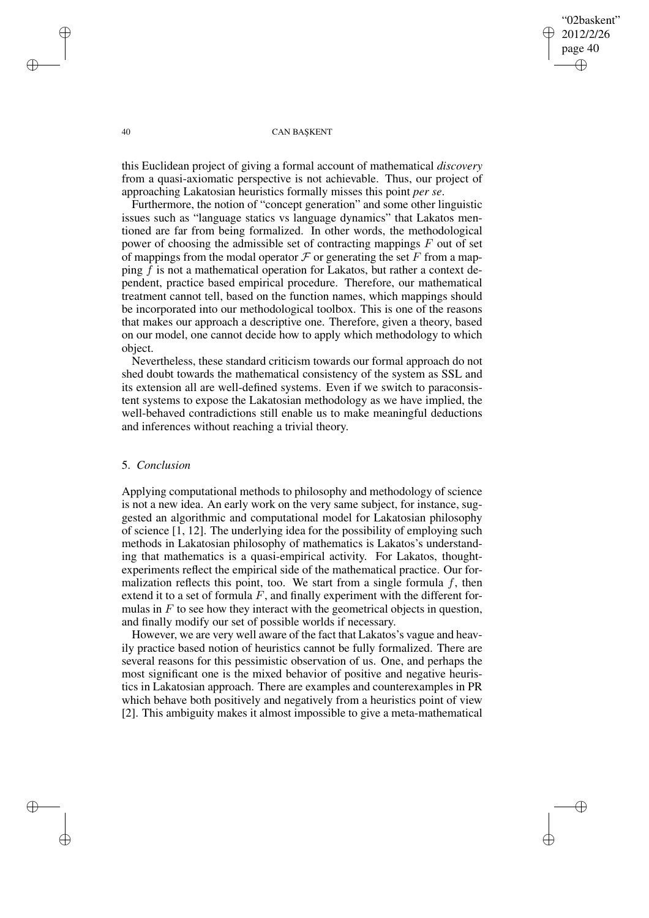"02baskent" 2012/2/26 page 40 ✐ ✐

✐

✐

#### 40 CAN BASKENT

this Euclidean project of giving a formal account of mathematical *discovery* from a quasi-axiomatic perspective is not achievable. Thus, our project of approaching Lakatosian heuristics formally misses this point *per se*.

Furthermore, the notion of "concept generation" and some other linguistic issues such as "language statics vs language dynamics" that Lakatos mentioned are far from being formalized. In other words, the methodological power of choosing the admissible set of contracting mappings  $F$  out of set of mappings from the modal operator  $\mathcal F$  or generating the set F from a mapping  $f$  is not a mathematical operation for Lakatos, but rather a context dependent, practice based empirical procedure. Therefore, our mathematical treatment cannot tell, based on the function names, which mappings should be incorporated into our methodological toolbox. This is one of the reasons that makes our approach a descriptive one. Therefore, given a theory, based on our model, one cannot decide how to apply which methodology to which object.

Nevertheless, these standard criticism towards our formal approach do not shed doubt towards the mathematical consistency of the system as SSL and its extension all are well-defined systems. Even if we switch to paraconsistent systems to expose the Lakatosian methodology as we have implied, the well-behaved contradictions still enable us to make meaningful deductions and inferences without reaching a trivial theory.

# 5. *Conclusion*

Applying computational methods to philosophy and methodology of science is not a new idea. An early work on the very same subject, for instance, suggested an algorithmic and computational model for Lakatosian philosophy of science [1, 12]. The underlying idea for the possibility of employing such methods in Lakatosian philosophy of mathematics is Lakatos's understanding that mathematics is a quasi-empirical activity. For Lakatos, thoughtexperiments reflect the empirical side of the mathematical practice. Our formalization reflects this point, too. We start from a single formula  $f$ , then extend it to a set of formula  $F$ , and finally experiment with the different formulas in  $F$  to see how they interact with the geometrical objects in question, and finally modify our set of possible worlds if necessary.

However, we are very well aware of the fact that Lakatos's vague and heavily practice based notion of heuristics cannot be fully formalized. There are several reasons for this pessimistic observation of us. One, and perhaps the most significant one is the mixed behavior of positive and negative heuristics in Lakatosian approach. There are examples and counterexamples in PR which behave both positively and negatively from a heuristics point of view [2]. This ambiguity makes it almost impossible to give a meta-mathematical

✐

✐

✐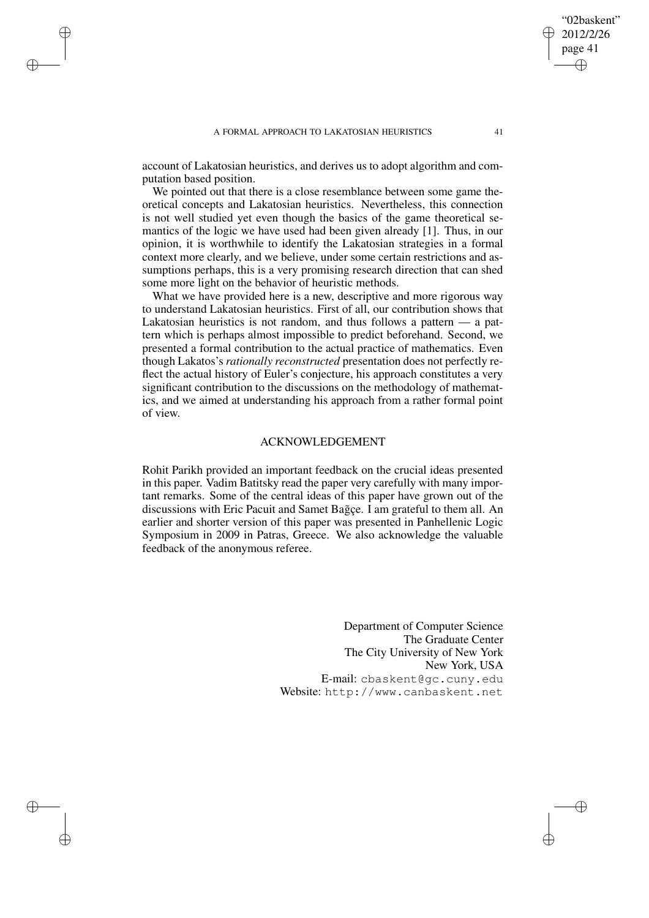✐

✐

✐

account of Lakatosian heuristics, and derives us to adopt algorithm and computation based position.

We pointed out that there is a close resemblance between some game theoretical concepts and Lakatosian heuristics. Nevertheless, this connection is not well studied yet even though the basics of the game theoretical semantics of the logic we have used had been given already [1]. Thus, in our opinion, it is worthwhile to identify the Lakatosian strategies in a formal context more clearly, and we believe, under some certain restrictions and assumptions perhaps, this is a very promising research direction that can shed some more light on the behavior of heuristic methods.

What we have provided here is a new, descriptive and more rigorous way to understand Lakatosian heuristics. First of all, our contribution shows that Lakatosian heuristics is not random, and thus follows a pattern  $-$  a pattern which is perhaps almost impossible to predict beforehand. Second, we presented a formal contribution to the actual practice of mathematics. Even though Lakatos's *rationally reconstructed* presentation does not perfectly reflect the actual history of Euler's conjecture, his approach constitutes a very significant contribution to the discussions on the methodology of mathematics, and we aimed at understanding his approach from a rather formal point of view.

# ACKNOWLEDGEMENT

Rohit Parikh provided an important feedback on the crucial ideas presented in this paper. Vadim Batitsky read the paper very carefully with many important remarks. Some of the central ideas of this paper have grown out of the discussions with Eric Pacuit and Samet Bagce. I am grateful to them all. An earlier and shorter version of this paper was presented in Panhellenic Logic Symposium in 2009 in Patras, Greece. We also acknowledge the valuable feedback of the anonymous referee.

> Department of Computer Science The Graduate Center The City University of New York New York, USA E-mail: cbaskent@gc.cuny.edu Website: http://www.canbaskent.net

"02baskent" 2012/2/26 page 41

✐

✐

✐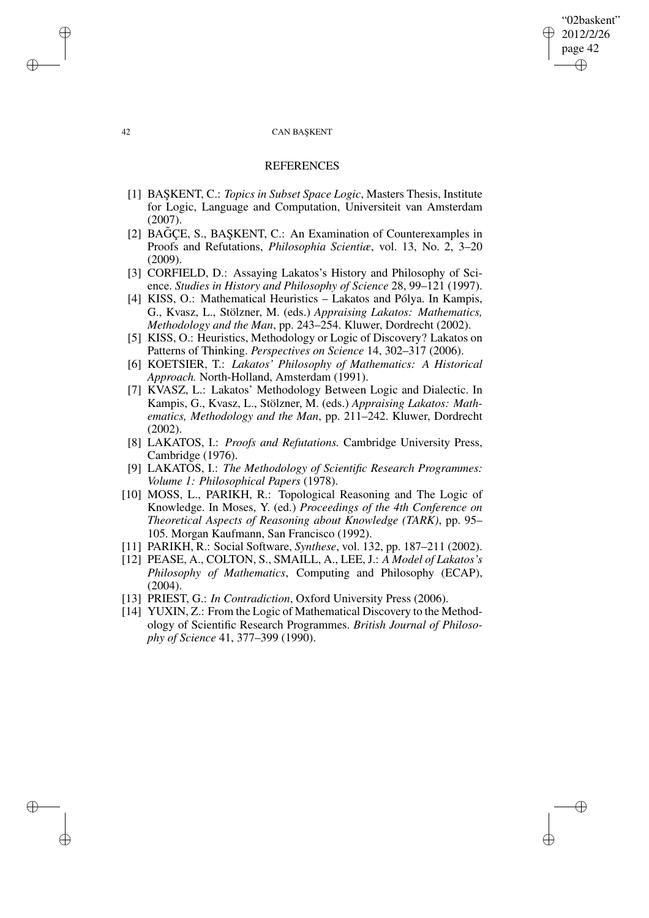## 42 CAN BASKENT

"02baskent" 2012/2/26 page 42

✐

✐

✐

✐

## **REFERENCES**

- [1] BAŞKENT, C.: *Topics in Subset Space Logic*, Masters Thesis, Institute for Logic, Language and Computation, Universiteit van Amsterdam (2007).
- [2] BAGCE, S., BASKENT, C.: An Examination of Counterexamples in Proofs and Refutations, *Philosophia Scientiæ*, vol. 13, No. 2, 3–20 (2009).
- [3] CORFIELD, D.: Assaying Lakatos's History and Philosophy of Science. *Studies in History and Philosophy of Science* 28, 99–121 (1997).
- [4] KISS, O.: Mathematical Heuristics Lakatos and Pólya. In Kampis, G., Kvasz, L., Stölzner, M. (eds.) *Appraising Lakatos: Mathematics, Methodology and the Man*, pp. 243–254. Kluwer, Dordrecht (2002).
- [5] KISS, O.: Heuristics, Methodology or Logic of Discovery? Lakatos on Patterns of Thinking. *Perspectives on Science* 14, 302–317 (2006).
- [6] KOETSIER, T.: *Lakatos' Philosophy of Mathematics: A Historical Approach.* North-Holland, Amsterdam (1991).
- [7] KVASZ, L.: Lakatos' Methodology Between Logic and Dialectic. In Kampis, G., Kvasz, L., Stölzner, M. (eds.) *Appraising Lakatos: Mathematics, Methodology and the Man*, pp. 211–242. Kluwer, Dordrecht (2002).
- [8] LAKATOS, I.: *Proofs and Refutations.* Cambridge University Press, Cambridge (1976).
- [9] LAKATOS, I.: *The Methodology of Scientific Research Programmes: Volume 1: Philosophical Papers* (1978).
- [10] MOSS, L., PARIKH, R.: Topological Reasoning and The Logic of Knowledge. In Moses, Y. (ed.) *Proceedings of the 4th Conference on Theoretical Aspects of Reasoning about Knowledge (TARK)*, pp. 95– 105. Morgan Kaufmann, San Francisco (1992).
- [11] PARIKH, R.: Social Software, *Synthese*, vol. 132, pp. 187–211 (2002).
- [12] PEASE, A., COLTON, S., SMAILL, A., LEE, J.: *A Model of Lakatos's Philosophy of Mathematics*, Computing and Philosophy (ECAP), (2004).
- [13] PRIEST, G.: *In Contradiction*, Oxford University Press (2006).
- [14] YUXIN, Z.: From the Logic of Mathematical Discovery to the Methodology of Scientific Research Programmes. *British Journal of Philosophy of Science* 41, 377–399 (1990).

✐

✐

✐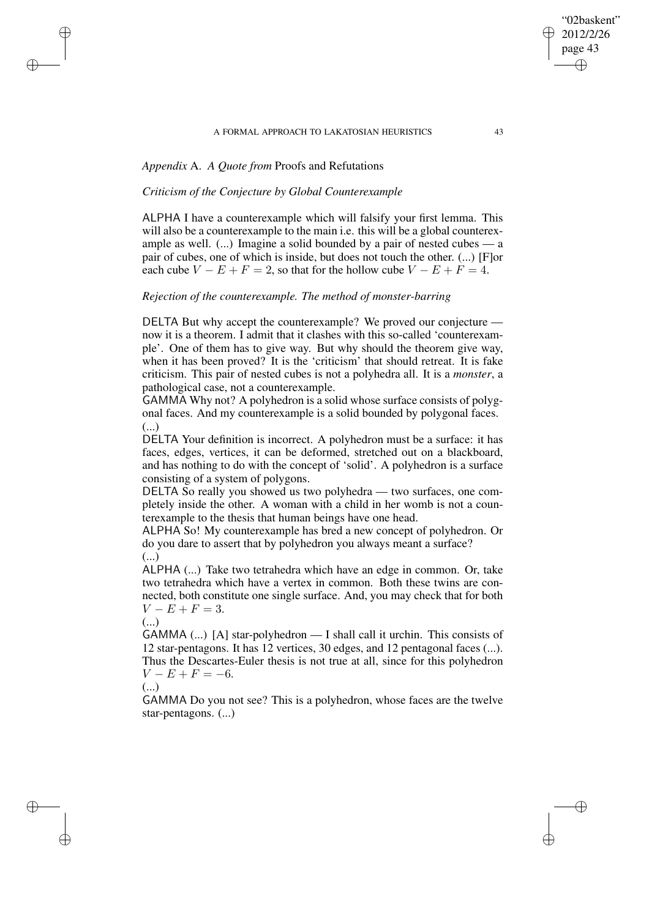#### A FORMAL APPROACH TO LAKATOSIAN HEURISTICS 43

# *Appendix* A. *A Quote from* Proofs and Refutations

## *Criticism of the Conjecture by Global Counterexample*

ALPHA I have a counterexample which will falsify your first lemma. This will also be a counterexample to the main i.e. this will be a global counterexample as well. (...) Imagine a solid bounded by a pair of nested cubes — a pair of cubes, one of which is inside, but does not touch the other. (...) [F]or each cube  $V - E + F = 2$ , so that for the hollow cube  $V - E + F = 4$ .

# *Rejection of the counterexample. The method of monster-barring*

DELTA But why accept the counterexample? We proved our conjecture now it is a theorem. I admit that it clashes with this so-called 'counterexample'. One of them has to give way. But why should the theorem give way, when it has been proved? It is the 'criticism' that should retreat. It is fake criticism. This pair of nested cubes is not a polyhedra all. It is a *monster*, a pathological case, not a counterexample.

GAMMA Why not? A polyhedron is a solid whose surface consists of polygonal faces. And my counterexample is a solid bounded by polygonal faces. (...)

DELTA Your definition is incorrect. A polyhedron must be a surface: it has faces, edges, vertices, it can be deformed, stretched out on a blackboard, and has nothing to do with the concept of 'solid'. A polyhedron is a surface consisting of a system of polygons.

DELTA So really you showed us two polyhedra — two surfaces, one completely inside the other. A woman with a child in her womb is not a counterexample to the thesis that human beings have one head.

ALPHA So! My counterexample has bred a new concept of polyhedron. Or do you dare to assert that by polyhedron you always meant a surface? (...)

ALPHA (...) Take two tetrahedra which have an edge in common. Or, take two tetrahedra which have a vertex in common. Both these twins are connected, both constitute one single surface. And, you may check that for both  $V - E + F = 3.$ 

(...)

✐

✐

GAMMA (...) [A] star-polyhedron — I shall call it urchin. This consists of 12 star-pentagons. It has 12 vertices, 30 edges, and 12 pentagonal faces (...). Thus the Descartes-Euler thesis is not true at all, since for this polyhedron  $V - E + F = -6.$ 

(...)

✐

✐

GAMMA Do you not see? This is a polyhedron, whose faces are the twelve star-pentagons. (...)

"02baskent" 2012/2/26 page 43

✐

✐

✐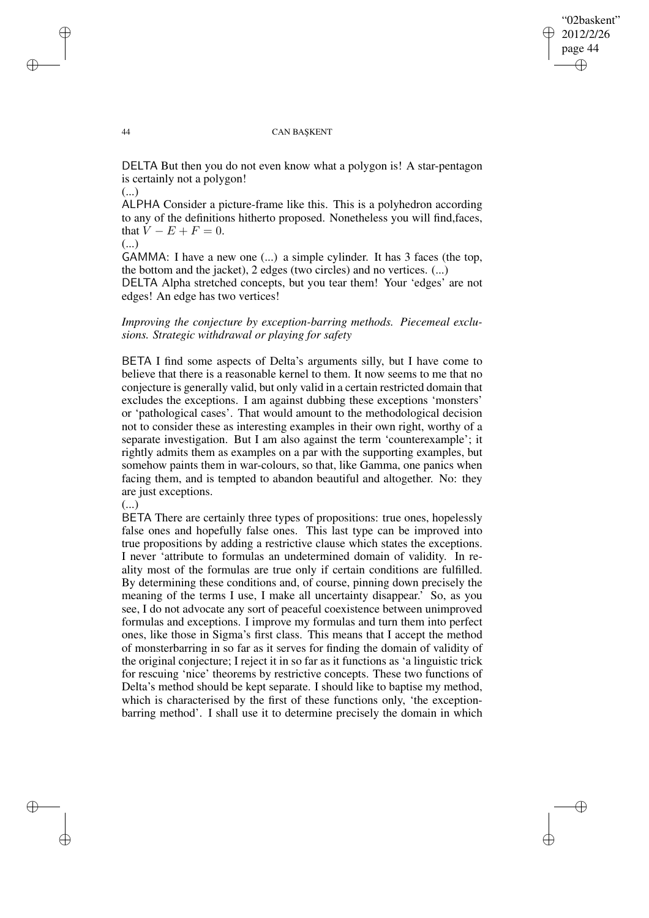## "02baskent" 2012/2/26 page 44 ✐ ✐

✐

✐

#### 44 CAN BASKENT

DELTA But then you do not even know what a polygon is! A star-pentagon is certainly not a polygon!

(...)

ALPHA Consider a picture-frame like this. This is a polyhedron according to any of the definitions hitherto proposed. Nonetheless you will find,faces, that  $V - E + F = 0$ .

(...)

GAMMA: I have a new one (...) a simple cylinder. It has 3 faces (the top, the bottom and the jacket), 2 edges (two circles) and no vertices. (...)

DELTA Alpha stretched concepts, but you tear them! Your 'edges' are not edges! An edge has two vertices!

*Improving the conjecture by exception-barring methods. Piecemeal exclusions. Strategic withdrawal or playing for safety*

BETA I find some aspects of Delta's arguments silly, but I have come to believe that there is a reasonable kernel to them. It now seems to me that no conjecture is generally valid, but only valid in a certain restricted domain that excludes the exceptions. I am against dubbing these exceptions 'monsters' or 'pathological cases'. That would amount to the methodological decision not to consider these as interesting examples in their own right, worthy of a separate investigation. But I am also against the term 'counterexample'; it rightly admits them as examples on a par with the supporting examples, but somehow paints them in war-colours, so that, like Gamma, one panics when facing them, and is tempted to abandon beautiful and altogether. No: they are just exceptions.

(...)

BETA There are certainly three types of propositions: true ones, hopelessly false ones and hopefully false ones. This last type can be improved into true propositions by adding a restrictive clause which states the exceptions. I never 'attribute to formulas an undetermined domain of validity. In reality most of the formulas are true only if certain conditions are fulfilled. By determining these conditions and, of course, pinning down precisely the meaning of the terms I use, I make all uncertainty disappear.' So, as you see, I do not advocate any sort of peaceful coexistence between unimproved formulas and exceptions. I improve my formulas and turn them into perfect ones, like those in Sigma's first class. This means that I accept the method of monsterbarring in so far as it serves for finding the domain of validity of the original conjecture; I reject it in so far as it functions as 'a linguistic trick for rescuing 'nice' theorems by restrictive concepts. These two functions of Delta's method should be kept separate. I should like to baptise my method, which is characterised by the first of these functions only, 'the exceptionbarring method'. I shall use it to determine precisely the domain in which

✐

✐

✐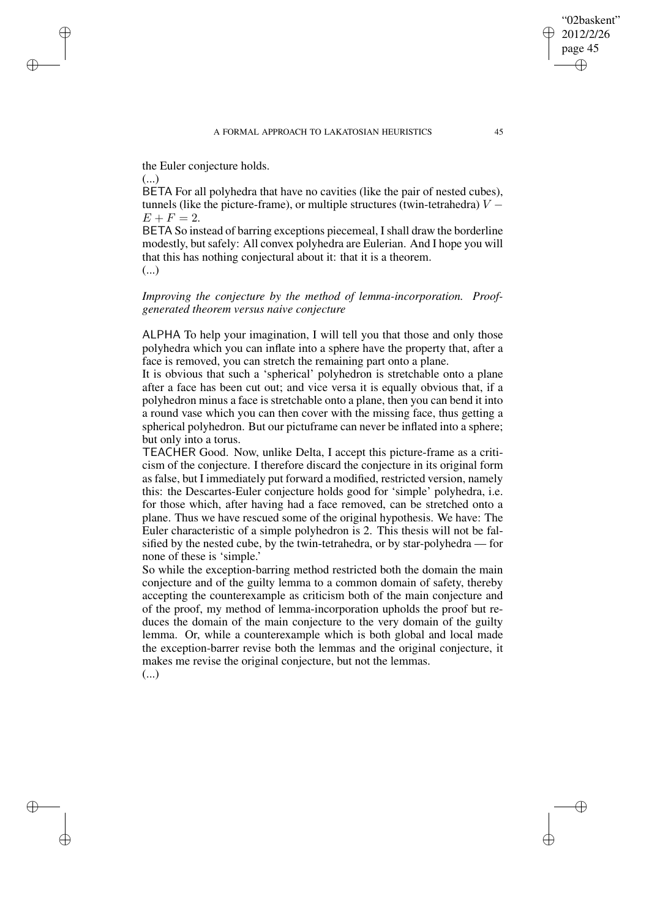the Euler conjecture holds.

(...)

✐

✐

BETA For all polyhedra that have no cavities (like the pair of nested cubes), tunnels (like the picture-frame), or multiple structures (twin-tetrahedra)  $V E + F = 2.$ 

BETA So instead of barring exceptions piecemeal, I shall draw the borderline modestly, but safely: All convex polyhedra are Eulerian. And I hope you will that this has nothing conjectural about it: that it is a theorem. (...)

*Improving the conjecture by the method of lemma-incorporation. Proofgenerated theorem versus naive conjecture*

ALPHA To help your imagination, I will tell you that those and only those polyhedra which you can inflate into a sphere have the property that, after a face is removed, you can stretch the remaining part onto a plane.

It is obvious that such a 'spherical' polyhedron is stretchable onto a plane after a face has been cut out; and vice versa it is equally obvious that, if a polyhedron minus a face is stretchable onto a plane, then you can bend it into a round vase which you can then cover with the missing face, thus getting a spherical polyhedron. But our pictuframe can never be inflated into a sphere; but only into a torus.

TEACHER Good. Now, unlike Delta, I accept this picture-frame as a criticism of the conjecture. I therefore discard the conjecture in its original form as false, but I immediately put forward a modified, restricted version, namely this: the Descartes-Euler conjecture holds good for 'simple' polyhedra, i.e. for those which, after having had a face removed, can be stretched onto a plane. Thus we have rescued some of the original hypothesis. We have: The Euler characteristic of a simple polyhedron is 2. This thesis will not be falsified by the nested cube, by the twin-tetrahedra, or by star-polyhedra — for none of these is 'simple.'

So while the exception-barring method restricted both the domain the main conjecture and of the guilty lemma to a common domain of safety, thereby accepting the counterexample as criticism both of the main conjecture and of the proof, my method of lemma-incorporation upholds the proof but reduces the domain of the main conjecture to the very domain of the guilty lemma. Or, while a counterexample which is both global and local made the exception-barrer revise both the lemmas and the original conjecture, it makes me revise the original conjecture, but not the lemmas.

(...)

✐

✐

"02baskent" 2012/2/26 page 45

✐

✐

✐